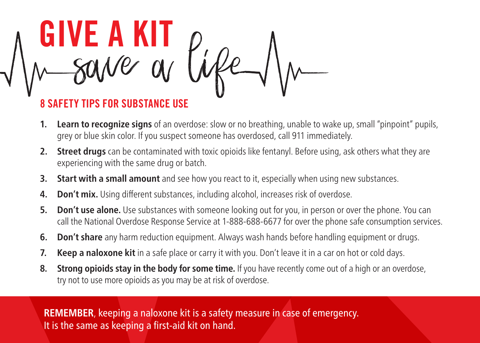

## 8 SAFETY TIPS FOR SUBSTANCE USE

- **1. Learn to recognize signs** of an overdose: slow or no breathing, unable to wake up, small "pinpoint" pupils, grey or blue skin color. If you suspect someone has overdosed, call 911 immediately.
- **2. Street drugs** can be contaminated with toxic opioids like fentanyl. Before using, ask others what they are experiencing with the same drug or batch.
- **3. Start with a small amount** and see how you react to it, especially when using new substances.
- **4. Don't mix.** Using different substances, including alcohol, increases risk of overdose.
- **5. Don't use alone.** Use substances with someone looking out for you, in person or over the phone. You can call the National Overdose Response Service at 1-888-688-6677 for over the phone safe consumption services.
- **6. Don't share** any harm reduction equipment. Always wash hands before handling equipment or drugs.
- **7. Keep a naloxone kit** in a safe place or carry it with you. Don't leave it in a car on hot or cold days.
- **8. Strong opioids stay in the body for some time.** If you have recently come out of a high or an overdose, try not to use more opioids as you may be at risk of overdose.

**REMEMBER**, keeping a naloxone kit is a safety measure in case of emergency. It is the same as keeping a first-aid kit on hand.